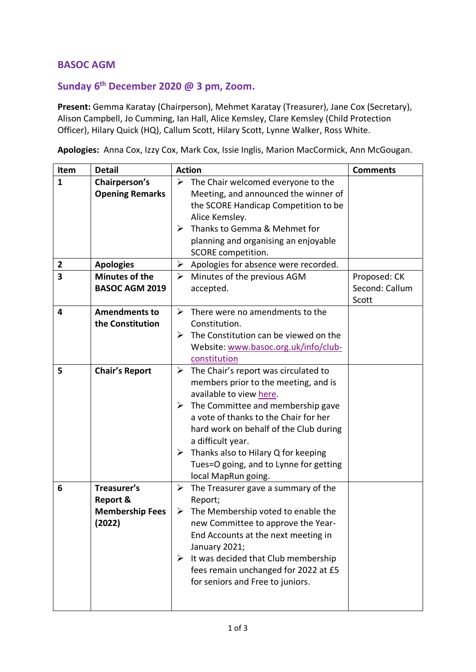## **BASOC AGM**

## **Sunday 6 th December 2020 @ 3 pm, Zoom.**

**Present:** Gemma Karatay (Chairperson), Mehmet Karatay (Treasurer), Jane Cox (Secretary), Alison Campbell, Jo Cumming, Ian Hall, Alice Kemsley, Clare Kemsley (Child Protection Officer), Hilary Quick (HQ), Callum Scott, Hilary Scott, Lynne Walker, Ross White.

**Apologies:** Anna Cox, Izzy Cox, Mark Cox, Issie Inglis, Marion MacCormick, Ann McGougan.

| Item         | <b>Detail</b>          | <b>Action</b>                                                | <b>Comments</b> |
|--------------|------------------------|--------------------------------------------------------------|-----------------|
| $\mathbf{1}$ | Chairperson's          | $\triangleright$ The Chair welcomed everyone to the          |                 |
|              | <b>Opening Remarks</b> | Meeting, and announced the winner of                         |                 |
|              |                        | the SCORE Handicap Competition to be                         |                 |
|              |                        | Alice Kemsley.                                               |                 |
|              |                        | Thanks to Gemma & Mehmet for<br>➤                            |                 |
|              |                        | planning and organising an enjoyable                         |                 |
|              |                        | SCORE competition.                                           |                 |
| $\mathbf{2}$ | <b>Apologies</b>       | Apologies for absence were recorded.<br>≻                    |                 |
| 3            | <b>Minutes of the</b>  | $\blacktriangleright$<br>Minutes of the previous AGM         | Proposed: CK    |
|              | <b>BASOC AGM 2019</b>  | accepted.                                                    | Second: Callum  |
|              |                        |                                                              | Scott           |
| 4            | <b>Amendments to</b>   | $\blacktriangleright$<br>There were no amendments to the     |                 |
|              | the Constitution       | Constitution.                                                |                 |
|              |                        | The Constitution can be viewed on the<br>➤                   |                 |
|              |                        | Website: www.basoc.org.uk/info/club-                         |                 |
|              |                        | constitution                                                 |                 |
| 5            | <b>Chair's Report</b>  | The Chair's report was circulated to<br>➤                    |                 |
|              |                        | members prior to the meeting, and is                         |                 |
|              |                        | available to view here.                                      |                 |
|              |                        | The Committee and membership gave<br>➤                       |                 |
|              |                        | a vote of thanks to the Chair for her                        |                 |
|              |                        | hard work on behalf of the Club during                       |                 |
|              |                        | a difficult year.                                            |                 |
|              |                        | Thanks also to Hilary Q for keeping<br>$\blacktriangleright$ |                 |
|              |                        | Tues=O going, and to Lynne for getting                       |                 |
|              |                        | local MapRun going.                                          |                 |
| 6            | Treasurer's            | ➤<br>The Treasurer gave a summary of the                     |                 |
|              | <b>Report &amp;</b>    | Report;                                                      |                 |
|              | <b>Membership Fees</b> | $\triangleright$ The Membership voted to enable the          |                 |
|              | (2022)                 | new Committee to approve the Year-                           |                 |
|              |                        | End Accounts at the next meeting in                          |                 |
|              |                        | January 2021;                                                |                 |
|              |                        | $\triangleright$ It was decided that Club membership         |                 |
|              |                        | fees remain unchanged for 2022 at £5                         |                 |
|              |                        |                                                              |                 |
|              |                        | for seniors and Free to juniors.                             |                 |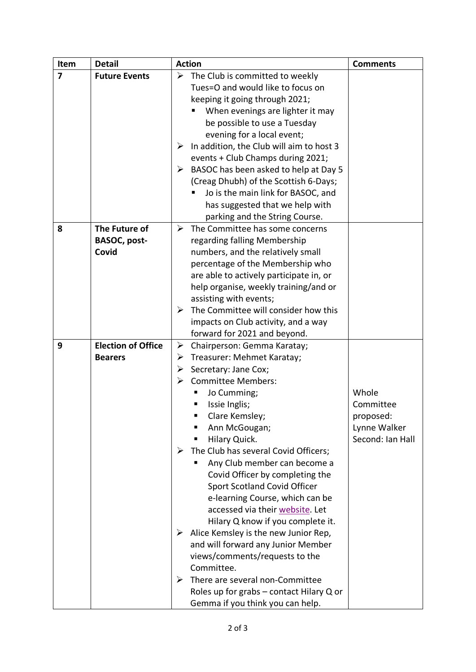| Item                    | <b>Detail</b>             | <b>Action</b> |                                                       | <b>Comments</b>  |
|-------------------------|---------------------------|---------------|-------------------------------------------------------|------------------|
| $\overline{\mathbf{z}}$ | <b>Future Events</b>      |               | $\triangleright$ The Club is committed to weekly      |                  |
|                         |                           |               | Tues=O and would like to focus on                     |                  |
|                         |                           |               | keeping it going through 2021;                        |                  |
|                         |                           |               | When evenings are lighter it may                      |                  |
|                         |                           |               | be possible to use a Tuesday                          |                  |
|                         |                           |               | evening for a local event;                            |                  |
|                         |                           | ➤             | In addition, the Club will aim to host 3              |                  |
|                         |                           |               | events + Club Champs during 2021;                     |                  |
|                         |                           | ➤             | BASOC has been asked to help at Day 5                 |                  |
|                         |                           |               | (Creag Dhubh) of the Scottish 6-Days;                 |                  |
|                         |                           |               | Jo is the main link for BASOC, and                    |                  |
|                         |                           |               | has suggested that we help with                       |                  |
|                         |                           |               | parking and the String Course.                        |                  |
| 8                       | The Future of             |               | $\triangleright$ The Committee has some concerns      |                  |
|                         | BASOC, post-              |               | regarding falling Membership                          |                  |
|                         | Covid                     |               | numbers, and the relatively small                     |                  |
|                         |                           |               | percentage of the Membership who                      |                  |
|                         |                           |               | are able to actively participate in, or               |                  |
|                         |                           |               | help organise, weekly training/and or                 |                  |
|                         |                           |               | assisting with events;                                |                  |
|                         |                           | ➤             | The Committee will consider how this                  |                  |
|                         |                           |               | impacts on Club activity, and a way                   |                  |
|                         |                           |               | forward for 2021 and beyond.                          |                  |
| 9                       | <b>Election of Office</b> | ➤             | Chairperson: Gemma Karatay;                           |                  |
|                         | <b>Bearers</b>            | ➤             | Treasurer: Mehmet Karatay;                            |                  |
|                         |                           | ➤             | Secretary: Jane Cox;                                  |                  |
|                         |                           | ⋗             | <b>Committee Members:</b>                             |                  |
|                         |                           |               | Jo Cumming;                                           | Whole            |
|                         |                           |               | Issie Inglis;                                         | Committee        |
|                         |                           |               | Clare Kemsley;                                        | proposed:        |
|                         |                           |               | Ann McGougan;                                         | Lynne Walker     |
|                         |                           |               | Hilary Quick.<br>п                                    | Second: Ian Hall |
|                         |                           | ➤             | The Club has several Covid Officers;                  |                  |
|                         |                           |               | Any Club member can become a                          |                  |
|                         |                           |               | Covid Officer by completing the                       |                  |
|                         |                           |               | Sport Scotland Covid Officer                          |                  |
|                         |                           |               | e-learning Course, which can be                       |                  |
|                         |                           |               | accessed via their website. Let                       |                  |
|                         |                           |               | Hilary Q know if you complete it.                     |                  |
|                         |                           |               | $\triangleright$ Alice Kemsley is the new Junior Rep, |                  |
|                         |                           |               | and will forward any Junior Member                    |                  |
|                         |                           |               | views/comments/requests to the                        |                  |
|                         |                           |               | Committee.                                            |                  |
|                         |                           | ➤             | There are several non-Committee                       |                  |
|                         |                           |               | Roles up for grabs - contact Hilary Q or              |                  |
|                         |                           |               | Gemma if you think you can help.                      |                  |